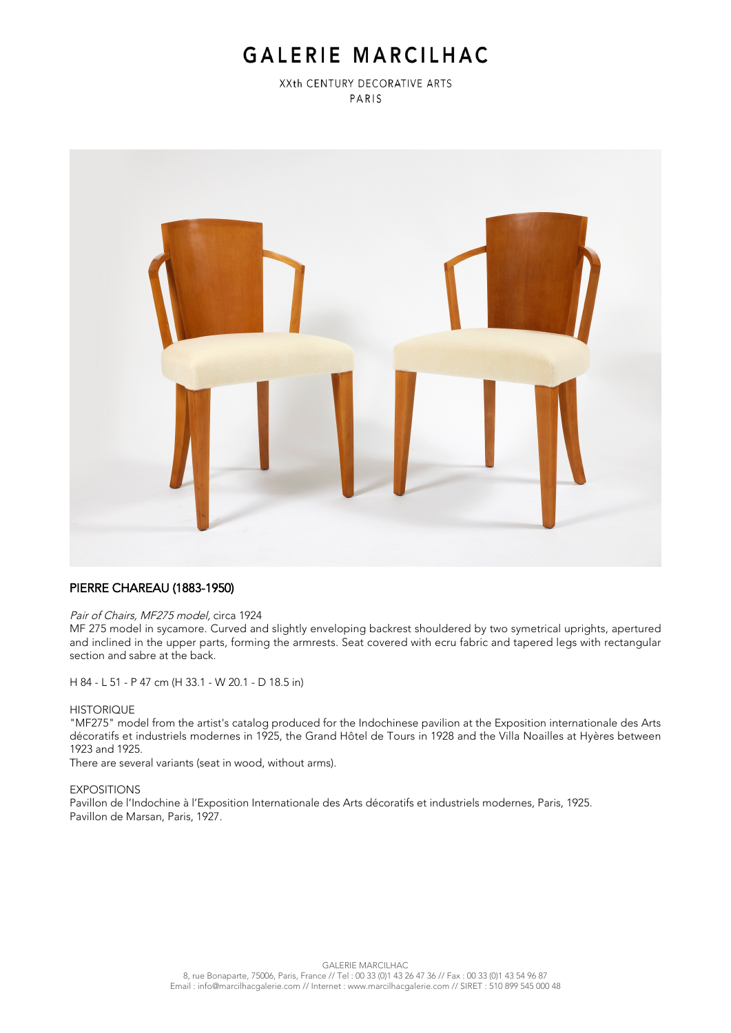# GALERIE MARCILHAC

XXth CENTURY DECORATIVE ARTS PARIS



## PIERRE CHAREAU (1883-1950)

#### Pair of Chairs, MF275 model, circa 1924

MF 275 model in sycamore. Curved and slightly enveloping backrest shouldered by two symetrical uprights, apertured and inclined in the upper parts, forming the armrests. Seat covered with ecru fabric and tapered legs with rectangular section and sabre at the back.

H 84 - L 51 - P 47 cm (H 33.1 - W 20.1 - D 18.5 in)

#### **HISTORIQUE**

"MF275" model from the artist's catalog produced for the Indochinese pavilion at the Exposition internationale des Arts décoratifs et industriels modernes in 1925, the Grand Hôtel de Tours in 1928 and the Villa Noailles at Hyères between 1923 and 1925.

There are several variants (seat in wood, without arms).

### **EXPOSITIONS**

Pavillon de l'Indochine à l'Exposition Internationale des Arts décoratifs et industriels modernes, Paris, 1925. Pavillon de Marsan, Paris, 1927.